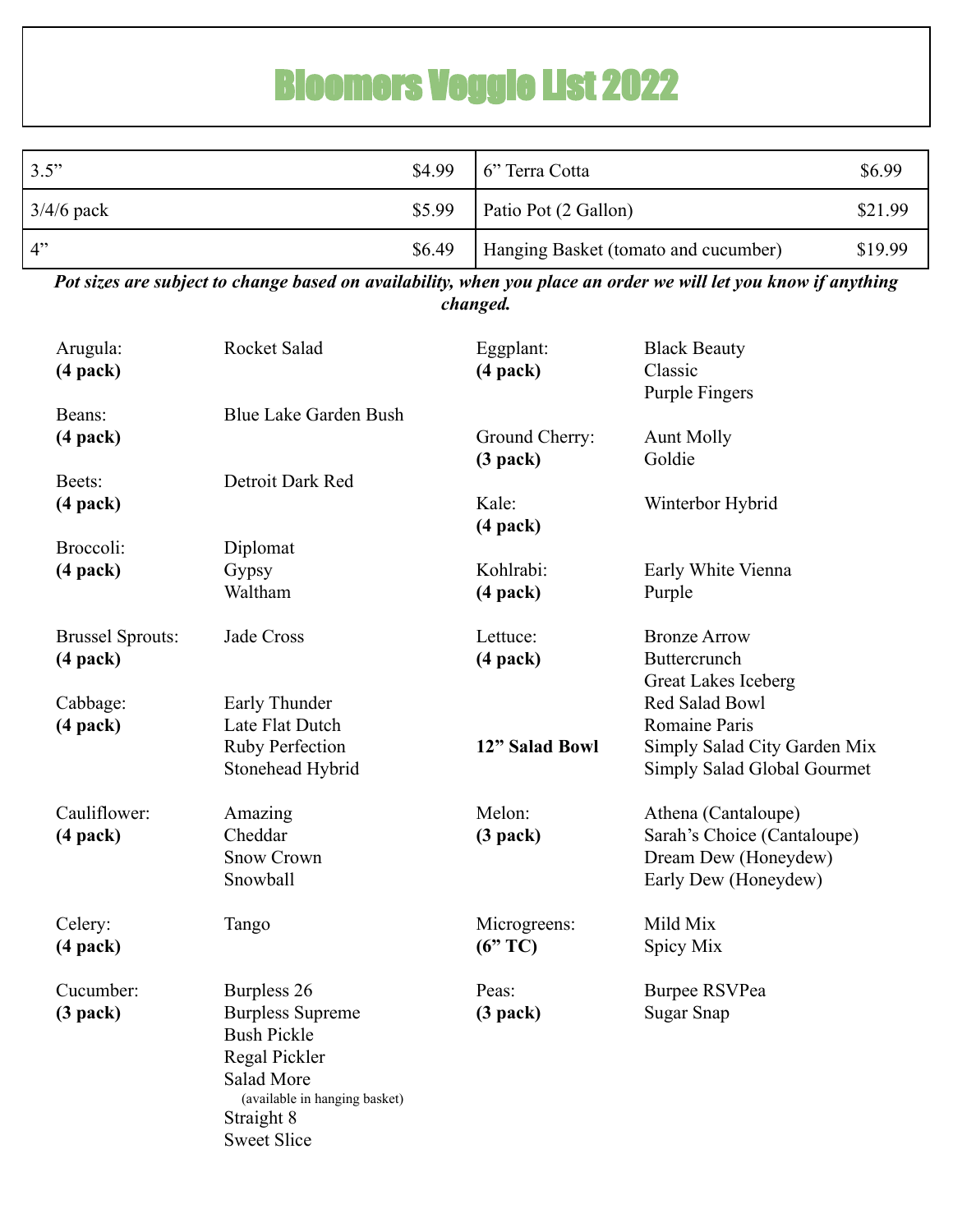## Bloomers Veggie List 2022

| 3.5"         |        | $$4.99$ 6" Terra Cotta               | \$6.99  |
|--------------|--------|--------------------------------------|---------|
| $3/4/6$ pack | \$5.99 | Patio Pot (2 Gallon)                 | \$21.99 |
| 4"           | \$6.49 | Hanging Basket (tomato and cucumber) | \$19.99 |

*Pot sizes are subject to change based on availability, when you place an order we will let you know if anything changed.*

| Arugula:<br>$(4$ pack)                   | Rocket Salad                                                                                                                                                            | Eggplant:<br>$(4$ pack $)$   | <b>Black Beauty</b><br>Classic<br><b>Purple Fingers</b>                                            |
|------------------------------------------|-------------------------------------------------------------------------------------------------------------------------------------------------------------------------|------------------------------|----------------------------------------------------------------------------------------------------|
| Beans:<br>$(4$ pack $)$                  | Blue Lake Garden Bush                                                                                                                                                   | Ground Cherry:<br>$(3$ pack) | <b>Aunt Molly</b><br>Goldie                                                                        |
| Beets:<br>$(4$ pack $)$                  | Detroit Dark Red                                                                                                                                                        | Kale:<br>$(4$ pack $)$       | Winterbor Hybrid                                                                                   |
| Broccoli:<br>$(4$ pack $)$               | Diplomat<br>Gypsy<br>Waltham                                                                                                                                            | Kohlrabi:<br>$(4$ pack $)$   | Early White Vienna<br>Purple                                                                       |
| <b>Brussel Sprouts:</b><br>$(4$ pack $)$ | Jade Cross                                                                                                                                                              | Lettuce:<br>$(4$ pack $)$    | <b>Bronze Arrow</b><br>Buttercrunch<br><b>Great Lakes Iceberg</b>                                  |
| Cabbage:<br>$(4$ pack $)$                | Early Thunder<br>Late Flat Dutch<br><b>Ruby Perfection</b><br>Stonehead Hybrid                                                                                          | 12" Salad Bowl               | Red Salad Bowl<br>Romaine Paris<br>Simply Salad City Garden Mix<br>Simply Salad Global Gourmet     |
| Cauliflower:<br>$(4$ pack $)$            | Amazing<br>Cheddar<br><b>Snow Crown</b><br>Snowball                                                                                                                     | Melon:<br>$(3$ pack)         | Athena (Cantaloupe)<br>Sarah's Choice (Cantaloupe)<br>Dream Dew (Honeydew)<br>Early Dew (Honeydew) |
| Celery:<br>$(4$ pack $)$                 | Tango                                                                                                                                                                   | Microgreens:<br>(6"TC)       | Mild Mix<br>Spicy Mix                                                                              |
| Cucumber:<br>$(3$ pack)                  | Burpless 26<br><b>Burpless Supreme</b><br><b>Bush Pickle</b><br>Regal Pickler<br><b>Salad More</b><br>(available in hanging basket)<br>Straight 8<br><b>Sweet Slice</b> | Peas:<br>$(3$ pack)          | <b>Burpee RSVPea</b><br><b>Sugar Snap</b>                                                          |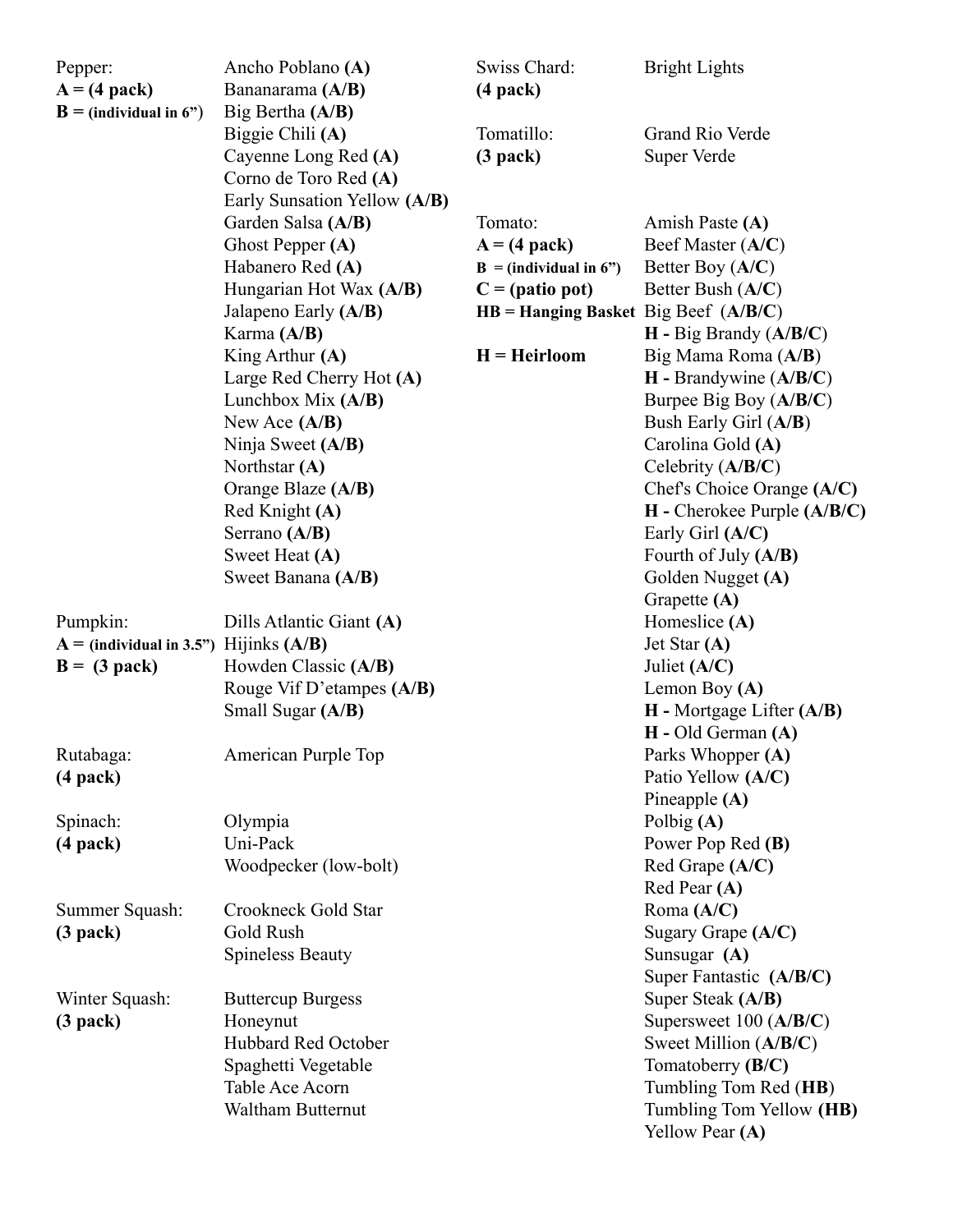| Pepper:<br>$A = (4$ pack)<br>$B = (individual in 6")$        | Ancho Poblano (A)<br>Bananarama (A/B)<br>Big Bertha (A/B)                          | Swiss Chard:<br>$(4$ pack $)$                                                           | <b>Bright Lights</b>                                                                                                   |
|--------------------------------------------------------------|------------------------------------------------------------------------------------|-----------------------------------------------------------------------------------------|------------------------------------------------------------------------------------------------------------------------|
|                                                              | Biggie Chili (A)<br>Cayenne Long Red (A)<br>Corno de Toro Red (A)                  | Tomatillo:<br>$(3$ pack)                                                                | Grand Rio Verde<br>Super Verde                                                                                         |
|                                                              | Early Sunsation Yellow (A/B)<br>Garden Salsa (A/B)<br>Ghost Pepper $(A)$           | Tomato:<br>$A = (4$ pack)                                                               | Amish Paste (A)<br>Beef Master (A/C)                                                                                   |
|                                                              | Habanero Red (A)<br>Hungarian Hot Wax (A/B)<br>Jalapeno Early (A/B)                | $B = (individual in 6")$<br>$C = (patio pot)$<br>$HB =$ Hanging Basket Big Beef (A/B/C) | Better Boy $(A/C)$<br>Better Bush (A/C)                                                                                |
|                                                              | Karma (A/B)<br>King Arthur $(A)$<br>Large Red Cherry Hot (A)                       | $H = Heirloom$                                                                          | H - Big Brandy (A/B/C)<br>Big Mama Roma (A/B)<br>H - Brandywine (A/B/C)                                                |
|                                                              | Lunchbox Mix $(A/B)$<br>New Ace $(A/B)$<br>Ninja Sweet (A/B)                       |                                                                                         | Burpee Big Boy (A/B/C)<br>Bush Early Girl (A/B)<br>Carolina Gold (A)                                                   |
|                                                              | Northstar $(A)$<br>Orange Blaze (A/B)<br>Red Knight (A)                            |                                                                                         | Celebrity (A/B/C)<br>Chef's Choice Orange (A/C)<br>$H$ - Cherokee Purple $(A/B/C)$                                     |
|                                                              | Serrano (A/B)<br>Sweet Heat (A)<br>Sweet Banana (A/B)                              |                                                                                         | Early Girl (A/C)<br>Fourth of July (A/B)<br>Golden Nugget (A)                                                          |
| Pumpkin:                                                     | Dills Atlantic Giant (A)                                                           |                                                                                         | Grapette (A)<br>Homeslice $(A)$<br>Jet Star $(A)$                                                                      |
| $A = (individual in 3.5")$ Hijinks $(A/B)$<br>$B = (3$ pack) | Howden Classic (A/B)<br>Rouge Vif D'etampes (A/B)                                  |                                                                                         | Juliet $(A/C)$<br>Lemon Boy $(A)$                                                                                      |
| Rutabaga:                                                    | Small Sugar (A/B)<br>American Purple Top                                           |                                                                                         | $H$ - Mortgage Lifter $(A/B)$<br>$H - Old German (A)$<br>Parks Whopper (A)                                             |
| $(4$ pack $)$                                                |                                                                                    |                                                                                         | Patio Yellow (A/C)<br>Pineapple $(A)$                                                                                  |
| Spinach:<br>$(4$ pack $)$                                    | Olympia<br>Uni-Pack<br>Woodpecker (low-bolt)                                       |                                                                                         | Polbig $(A)$<br>Power Pop Red (B)<br>Red Grape (A/C)                                                                   |
| Summer Squash:<br>$(3$ pack)                                 | Crookneck Gold Star<br>Gold Rush<br><b>Spineless Beauty</b>                        |                                                                                         | Red Pear (A)<br>Roma (A/C)<br>Sugary Grape (A/C)<br>Sunsugar (A)                                                       |
| Winter Squash:<br>$(3$ pack)                                 | <b>Buttercup Burgess</b><br>Honeynut<br>Hubbard Red October<br>Spaghetti Vegetable |                                                                                         | Super Fantastic (A/B/C)<br>Super Steak (A/B)<br>Supersweet $100 (A/B/C)$<br>Sweet Million (A/B/C)<br>Tomatoberry (B/C) |
|                                                              | Table Ace Acorn<br>Waltham Butternut                                               |                                                                                         | Tumbling Tom Red (HB)<br>Tumbling Tom Yellow (HB)<br>Yellow Pear (A)                                                   |